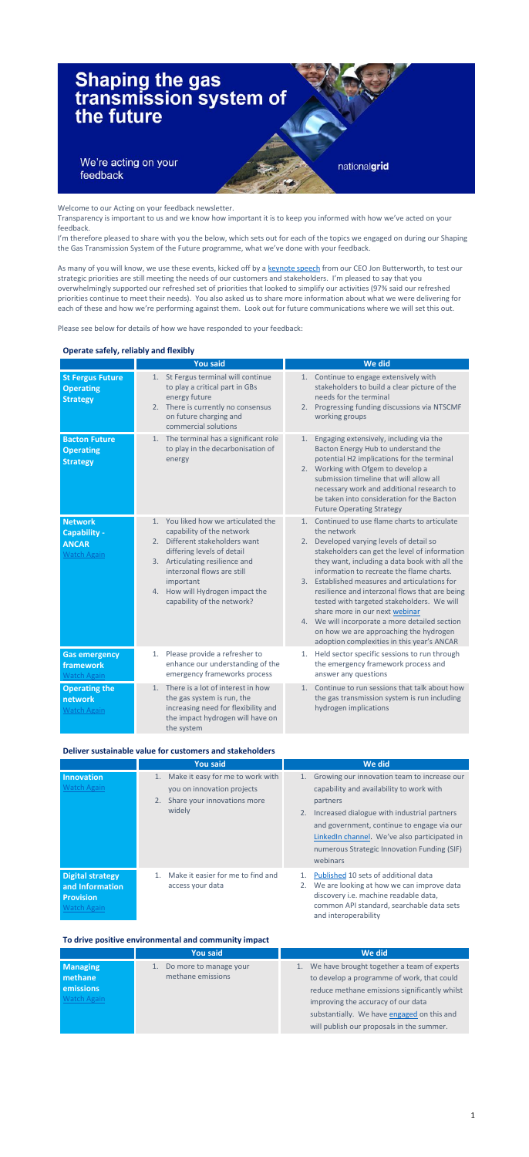

Welcome to our Acting on your feedback newsletter.

Transparency is important to us and we know how important it is to keep you informed with how we've acted on your feedback.

I'm therefore pleased to share with you the below, which sets out for each of the topics we engaged on during our Shaping the Gas Transmission System of the Future programme, what we've done with your feedback.

As many of you will know, we use these events, kicked off by a [keynote speech](https://players.brightcove.net/2346984621001/default_default/index.html?videoId=6283223167001) from our CEO Jon Butterworth, to test our strategic priorities are still meeting the needs of our customers and stakeholders. I'm pleased to say that you overwhelmingly supported our refreshed set of priorities that looked to simplify our activities (97% said our refreshed priorities continue to meet their needs). You also asked us to share more information about what we were delivering for each of these and how we're performing against them. Look out for future communications where we will set this out.

Please see below for details of how we have responded to your feedback:

### **Operate safely, reliably and flexibly**

|                                                                      | <b>You said</b>                                                                                                                                                                                                                                                                           | We did                                                                                                                                                                                                                                                                                                                                                                                                                                                                                                                                                                                      |
|----------------------------------------------------------------------|-------------------------------------------------------------------------------------------------------------------------------------------------------------------------------------------------------------------------------------------------------------------------------------------|---------------------------------------------------------------------------------------------------------------------------------------------------------------------------------------------------------------------------------------------------------------------------------------------------------------------------------------------------------------------------------------------------------------------------------------------------------------------------------------------------------------------------------------------------------------------------------------------|
| <b>St Fergus Future</b><br><b>Operating</b><br><b>Strategy</b>       | St Fergus terminal will continue<br>1.<br>to play a critical part in GBs<br>energy future<br>2. There is currently no consensus<br>on future charging and<br>commercial solutions                                                                                                         | Continue to engage extensively with<br>1.<br>stakeholders to build a clear picture of the<br>needs for the terminal<br>2. Progressing funding discussions via NTSCMF<br>working groups                                                                                                                                                                                                                                                                                                                                                                                                      |
| <b>Bacton Future</b><br><b>Operating</b><br><b>Strategy</b>          | 1. The terminal has a significant role<br>to play in the decarbonisation of<br>energy                                                                                                                                                                                                     | Engaging extensively, including via the<br>1.<br>Bacton Energy Hub to understand the<br>potential H2 implications for the terminal<br>2. Working with Ofgem to develop a<br>submission timeline that will allow all<br>necessary work and additional research to<br>be taken into consideration for the Bacton<br><b>Future Operating Strategy</b>                                                                                                                                                                                                                                          |
| <b>Network</b><br>Capability -<br><b>ANCAR</b><br><b>Watch Again</b> | You liked how we articulated the<br>$1_{-}$<br>capability of the network<br>Different stakeholders want<br>2.<br>differing levels of detail<br>3. Articulating resilience and<br>interzonal flows are still<br>important<br>4. How will Hydrogen impact the<br>capability of the network? | Continued to use flame charts to articulate<br>1.<br>the network<br>Developed varying levels of detail so<br>2.<br>stakeholders can get the level of information<br>they want, including a data book with all the<br>information to recreate the flame charts.<br>3. Established measures and articulations for<br>resilience and interzonal flows that are being<br>tested with targeted stakeholders. We will<br>share more in our next webinar<br>4. We will incorporate a more detailed section<br>on how we are approaching the hydrogen<br>adoption complexities in this year's ANCAR |
| <b>Gas emergency</b><br>framework                                    | Please provide a refresher to<br>1.<br>enhance our understanding of the                                                                                                                                                                                                                   | Held sector specific sessions to run through<br>1.<br>the emergency framework process and                                                                                                                                                                                                                                                                                                                                                                                                                                                                                                   |

| <b>Watch Again</b>                                    | emergency frameworks process                                                                                                                                | answer any questions                                                                                                                    |
|-------------------------------------------------------|-------------------------------------------------------------------------------------------------------------------------------------------------------------|-----------------------------------------------------------------------------------------------------------------------------------------|
| <b>Operating the</b><br>network<br><b>Watch Again</b> | 1. There is a lot of interest in how<br>the gas system is run, the<br>increasing need for flexibility and<br>the impact hydrogen will have on<br>the system | Continue to run sessions that talk about how<br>1 <sup>1</sup><br>the gas transmission system is run including<br>hydrogen implications |

# **Deliver sustainable value for customers and stakeholders**

|                                                                                      | <b>You said</b>                                                                                                     | We did                                                                                                                                                                                                                                                                                                               |
|--------------------------------------------------------------------------------------|---------------------------------------------------------------------------------------------------------------------|----------------------------------------------------------------------------------------------------------------------------------------------------------------------------------------------------------------------------------------------------------------------------------------------------------------------|
| Innovation<br><b>Watch Again</b>                                                     | Make it easy for me to work with<br>1.<br>you on innovation projects<br>Share your innovations more<br>2.<br>widely | Growing our innovation team to increase our<br>1.<br>capability and availability to work with<br>partners<br>2. Increased dialogue with industrial partners<br>and government, continue to engage via our<br>LinkedIn channel. We've also participated in<br>numerous Strategic Innovation Funding (SIF)<br>webinars |
| <b>Digital strategy</b><br>and Information<br><b>Provision</b><br><b>Watch Again</b> | Make it easier for me to find and<br>$1_{\cdot}$<br>access your data                                                | Published 10 sets of additional data<br>1.<br>We are looking at how we can improve data<br>2.<br>discovery i.e. machine readable data,<br>common API standard, searchable data sets<br>and interoperability                                                                                                          |

# **To drive positive environmental and community impact**

|                                                               | <b>You said</b>                                | We did                                                                                                                                                                                                                                                                           |
|---------------------------------------------------------------|------------------------------------------------|----------------------------------------------------------------------------------------------------------------------------------------------------------------------------------------------------------------------------------------------------------------------------------|
| <b>Managing</b><br><b>methane</b><br>emissions<br>Watch Again | 1. Do more to manage your<br>methane emissions | We have brought together a team of experts<br>1.<br>to develop a programme of work, that could<br>reduce methane emissions significantly whilst<br>improving the accuracy of our data<br>substantially. We have engaged on this and<br>will publish our proposals in the summer. |